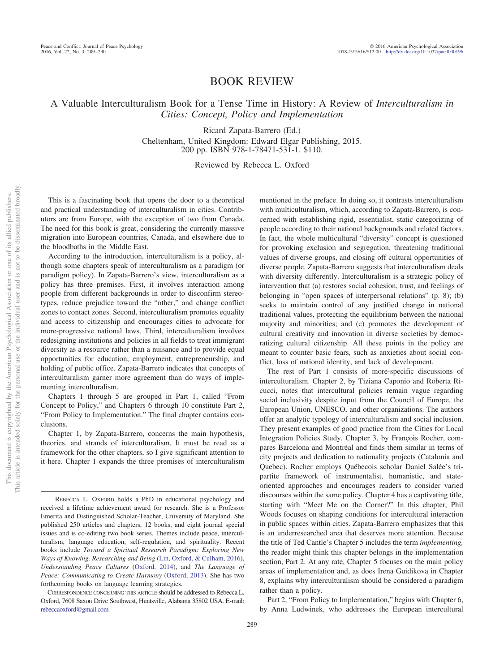## BOOK REVIEW

A Valuable Interculturalism Book for a Tense Time in History: A Review of *Interculturalism in Cities: Concept, Policy and Implementation*

> Ricard Zapata-Barrero (Ed.) Cheltenham, United Kingdom: Edward Elgar Publishing, 2015. 200 pp. ISBN 978-1-78471-531-1. \$110.

## Reviewed by Rebecca L. Oxford

This is a fascinating book that opens the door to a theoretical and practical understanding of interculturalism in cities. Contributors are from Europe, with the exception of two from Canada. The need for this book is great, considering the currently massive migration into European countries, Canada, and elsewhere due to the bloodbaths in the Middle East.

According to the introduction, interculturalism is a policy, although some chapters speak of interculturalism as a paradigm (or paradigm policy). In Zapata-Barrero's view, interculturalism as a policy has three premises. First, it involves interaction among people from different backgrounds in order to disconfirm stereotypes, reduce prejudice toward the "other," and change conflict zones to contact zones. Second, interculturalism promotes equality and access to citizenship and encourages cities to advocate for more-progressive national laws. Third, interculturalism involves redesigning institutions and policies in all fields to treat immigrant diversity as a resource rather than a nuisance and to provide equal opportunities for education, employment, entrepreneurship, and holding of public office. Zapata-Barrero indicates that concepts of interculturalism garner more agreement than do ways of implementing interculturalism.

Chapters 1 through 5 are grouped in Part 1, called "From Concept to Policy," and Chapters 6 through 10 constitute Part 2, "From Policy to Implementation." The final chapter contains conclusions.

Chapter 1, by Zapata-Barrero, concerns the main hypothesis, theories, and strands of interculturalism. It must be read as a framework for the other chapters, so I give significant attention to it here. Chapter 1 expands the three premises of interculturalism

mentioned in the preface. In doing so, it contrasts interculturalism with multiculturalism, which, according to Zapata-Barrero, is concerned with establishing rigid, essentialist, static categorizing of people according to their national backgrounds and related factors. In fact, the whole multicultural "diversity" concept is questioned for provoking exclusion and segregation, threatening traditional values of diverse groups, and closing off cultural opportunities of diverse people. Zapata-Barrero suggests that interculturalism deals with diversity differently. Interculturalism is a strategic policy of intervention that (a) restores social cohesion, trust, and feelings of belonging in "open spaces of interpersonal relations" (p. 8); (b) seeks to maintain control of any justified change in national traditional values, protecting the equilibrium between the national majority and minorities; and (c) promotes the development of cultural creativity and innovation in diverse societies by democratizing cultural citizenship. All these points in the policy are meant to counter basic fears, such as anxieties about social conflict, loss of national identity, and lack of development.

The rest of Part 1 consists of more-specific discussions of interculturalism. Chapter 2, by Tiziana Caponio and Roberta Ricucci, notes that intercultural policies remain vague regarding social inclusivity despite input from the Council of Europe, the European Union, UNESCO, and other organizations. The authors offer an analytic typology of interculturalism and social inclusion. They present examples of good practice from the Cities for Local Integration Policies Study. Chapter 3, by François Rocher, compares Barcelona and Montréal and finds them similar in terms of city projects and dedication to nationality projects (Catalonia and Quebec). Rocher employs Québecois scholar Daniel Salée's tripartite framework of instrumentalist, humanistic, and stateoriented approaches and encourages readers to consider varied discourses within the same policy. Chapter 4 has a captivating title, starting with "Meet Me on the Corner?" In this chapter, Phil Woods focuses on shaping conditions for intercultural interaction in public spaces within cities. Zapata-Barrero emphasizes that this is an underresearched area that deserves more attention. Because the title of Ted Cantle's Chapter 5 includes the term *implementing,* the reader might think this chapter belongs in the implementation section, Part 2. At any rate, Chapter 5 focuses on the main policy areas of implementation and, as does Irena Guidikova in Chapter 8, explains why interculturalism should be considered a paradigm rather than a policy.

Part 2, "From Policy to Implementation," begins with Chapter 6, by Anna Ludwinek, who addresses the European intercultural

REBECCA L. OXFORD holds a PhD in educational psychology and received a lifetime achievement award for research. She is a Professor Emerita and Distinguished Scholar-Teacher, University of Maryland. She published 250 articles and chapters, 12 books, and eight journal special issues and is co-editing two book series. Themes include peace, interculturalism, language education, self-regulation, and spirituality. Recent books include *Toward a Spiritual Research Paradigm: Exploring New Ways of Knowing, Researching and Being* [\(Lin, Oxford, & Culham, 2016\)](#page-1-0), *Understanding Peace Cultures* [\(Oxford, 2014\)](#page-1-1), and *The Language of Peace: Communicating to Create Harmony* [\(Oxford, 2013\)](#page-1-2). She has two forthcoming books on language learning strategies.

CORRESPONDENCE CONCERNING THIS ARTICLE should be addressed to Rebecca L. Oxford, 7608 Saxon Drive Southwest, Huntsville, Alabama 35802 USA. E-mail: [rebeccaoxford@gmail.com](mailto:rebeccaoxford@gmail.com)